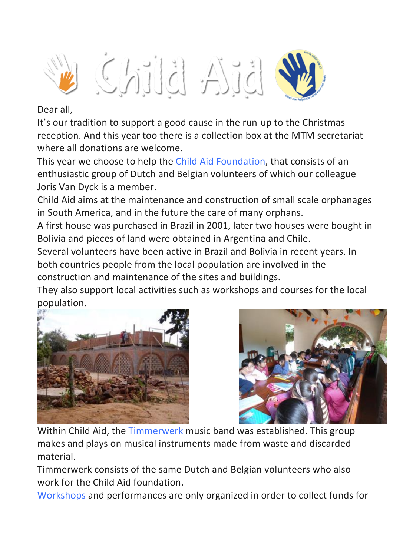

## Dear all,

It's our tradition to support a good cause in the run-up to the Christmas reception. And this year too there is a collection box at the MTM secretariat where all donations are welcome.

This year we choose to help the Child Aid Foundation, that consists of an enthusiastic group of Dutch and Belgian volunteers of which our colleague Joris Van Dyck is a member.

Child Aid aims at the maintenance and construction of small scale orphanages in South America, and in the future the care of many orphans.

A first house was purchased in Brazil in 2001, later two houses were bought in Bolivia and pieces of land were obtained in Argentina and Chile.

Several volunteers have been active in Brazil and Bolivia in recent years. In both countries people from the local population are involved in the construction and maintenance of the sites and buildings.

They also support local activities such as workshops and courses for the local population.





Within Child Aid, the Timmerwerk music band was established. This group makes and plays on musical instruments made from waste and discarded material.

Timmerwerk consists of the same Dutch and Belgian volunteers who also work for the Child Aid foundation.

Workshops and performances are only organized in order to collect funds for